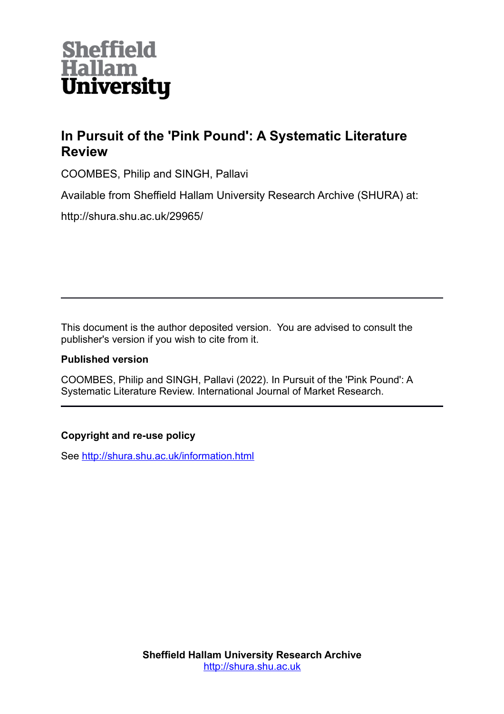

# **In Pursuit of the 'Pink Pound': A Systematic Literature Review**

COOMBES, Philip and SINGH, Pallavi

Available from Sheffield Hallam University Research Archive (SHURA) at:

http://shura.shu.ac.uk/29965/

This document is the author deposited version. You are advised to consult the publisher's version if you wish to cite from it.

# **Published version**

COOMBES, Philip and SINGH, Pallavi (2022). In Pursuit of the 'Pink Pound': A Systematic Literature Review. International Journal of Market Research.

# **Copyright and re-use policy**

See<http://shura.shu.ac.uk/information.html>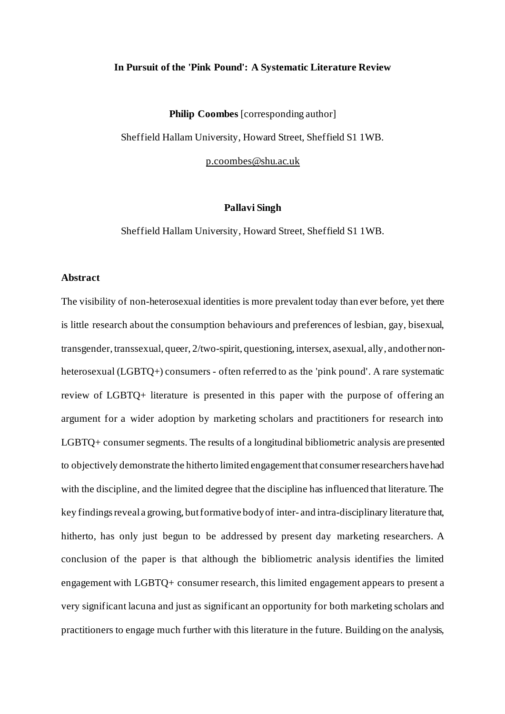#### **In Pursuit of the 'Pink Pound': A Systematic Literature Review**

**Philip Coombes** [corresponding author] Sheffield Hallam University, Howard Street, Sheffield S1 1WB. [p.coombes@shu.ac.uk](mailto:p.coombes@shu.ac.uk)

#### **Pallavi Singh**

Sheffield Hallam University, Howard Street, Sheffield S1 1WB.

#### **Abstract**

The visibility of non-heterosexual identities is more prevalent today than ever before, yet there is little research about the consumption behaviours and preferences of lesbian, gay, bisexual, transgender, transsexual, queer, 2/two-spirit, questioning, intersex, asexual, ally, and other nonheterosexual (LGBTQ+) consumers - often referred to as the 'pink pound'. A rare systematic review of LGBTQ+ literature is presented in this paper with the purpose of offering an argument for a wider adoption by marketing scholars and practitioners for research into LGBTQ+ consumer segments. The results of a longitudinal bibliometric analysis are presented to objectively demonstrate the hitherto limited engagement that consumer researchers have had with the discipline, and the limited degree that the discipline has influenced that literature. The key findings reveal a growing, but formative body of inter- and intra-disciplinary literature that, hitherto, has only just begun to be addressed by present day marketing researchers. A conclusion of the paper is that although the bibliometric analysis identifies the limited engagement with LGBTQ+ consumer research, this limited engagement appears to present a very significant lacuna and just as significant an opportunity for both marketing scholars and practitioners to engage much further with this literature in the future. Building on the analysis,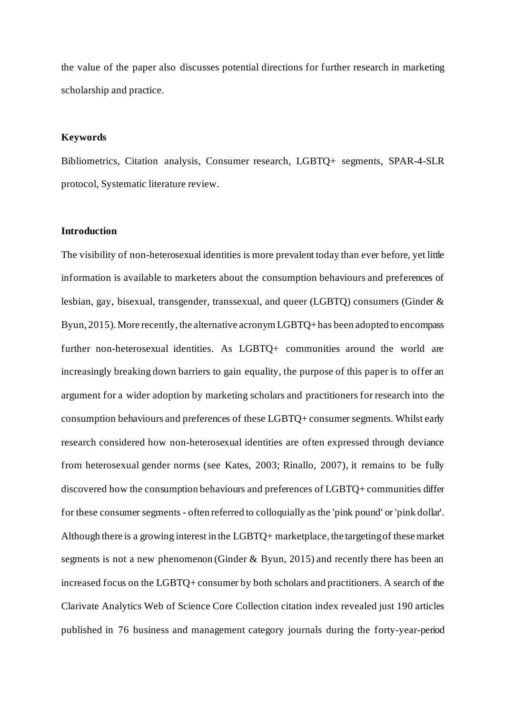the value of the paper also discusses potential directions for further research in marketing scholarship and practice.

# **Keywords**

Bibliometrics, Citation analysis, Consumer research, LGBTQ+ segments, SPAR-4-SLR protocol, Systematic literature review.

#### **Introduction**

The visibility of non-heterosexual identities is more prevalent today than ever before, yet little information is available to marketers about the consumption behaviours and preferences of lesbian, gay, bisexual, transgender, transsexual, and queer (LGBTQ) consumers (Ginder & Byun, 2015). More recently, the alternative acronym LGBTQ+ has been adopted to encompass further non-heterosexual identities. As LGBTQ+ communities around the world are increasingly breaking down barriers to gain equality, the purpose of this paper is to offer an argument for a wider adoption by marketing scholars and practitioners for research into the consumption behaviours and preferences of these LGBTQ+ consumer segments. Whilst early research considered how non-heterosexual identities are often expressed through deviance from heterosexual gender norms (see Kates, 2003; Rinallo, 2007), it remains to be fully discovered how the consumption behaviours and preferences of LGBTQ+ communities differ for these consumer segments - often referred to colloquially as the 'pink pound' or 'pink dollar'. Although there is a growing interest in the LGBTQ+ marketplace, the targeting of these market segments is not a new phenomenon (Ginder & Byun, 2015) and recently there has been an increased focus on the LGBTQ+ consumer by both scholars and practitioners. A search of the Clarivate Analytics Web of Science Core Collection citation index revealed just 190 articles published in 76 business and management category journals during the forty-year-period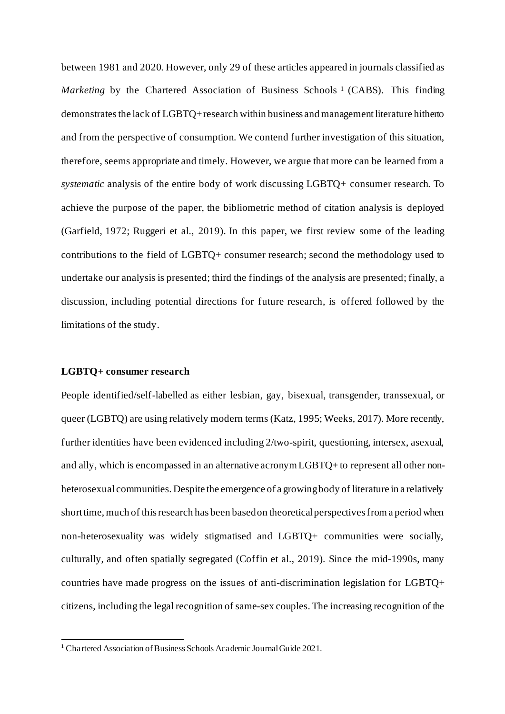between 1981 and 2020. However, only 29 of these articles appeared in journals classified as *Marketing* by the Chartered Association of Business Schools<sup>1</sup> (CABS). This finding demonstrates the lack of LGBTQ+research within business and management literature hitherto and from the perspective of consumption. We contend further investigation of this situation, therefore, seems appropriate and timely. However, we argue that more can be learned from a *systematic* analysis of the entire body of work discussing LGBTQ+ consumer research. To achieve the purpose of the paper, the bibliometric method of citation analysis is deployed (Garfield, 1972; Ruggeri et al., 2019). In this paper, we first review some of the leading contributions to the field of LGBTQ+ consumer research; second the methodology used to undertake our analysis is presented; third the findings of the analysis are presented; finally, a discussion, including potential directions for future research, is offered followed by the limitations of the study.

#### **LGBTQ+ consumer research**

People identified/self-labelled as either lesbian, gay, bisexual, transgender, transsexual, or queer (LGBTQ) are using relatively modern terms (Katz, 1995; Weeks, 2017). More recently, further identities have been evidenced including 2/two-spirit, questioning, intersex, asexual, and ally, which is encompassed in an alternative acronym LGBTQ+ to represent all other nonheterosexual communities. Despite the emergence of a growing body of literature in a relatively short time, much of this research has been based on theoretical perspectives from a period when non-heterosexuality was widely stigmatised and LGBTQ+ communities were socially, culturally, and often spatially segregated (Coffin et al., 2019). Since the mid-1990s, many countries have made progress on the issues of anti-discrimination legislation for LGBTQ+ citizens, including the legal recognition of same-sex couples. The increasing recognition of the

<sup>&</sup>lt;sup>1</sup> Chartered Association of Business Schools Academic Journal Guide 2021.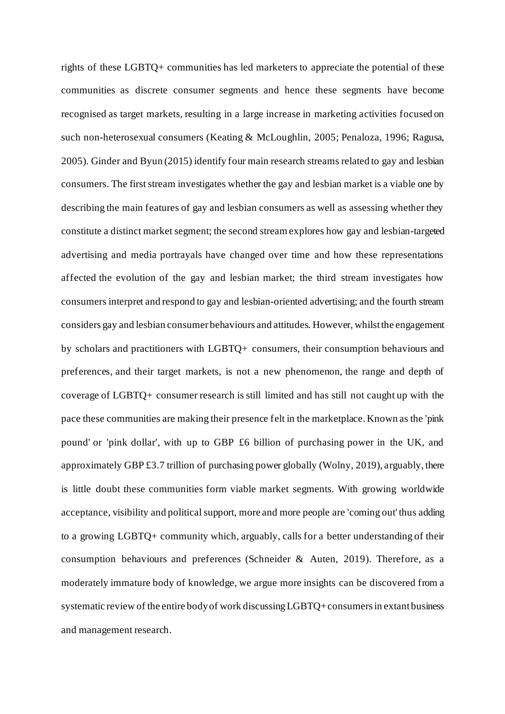rights of these LGBTQ+ communities has led marketers to appreciate the potential of these communities as discrete consumer segments and hence these segments have become recognised as target markets, resulting in a large increase in marketing activities focused on such non-heterosexual consumers (Keating & McLoughlin, 2005; Penaloza, 1996; Ragusa, 2005). Ginder and Byun (2015) identify four main research streams related to gay and lesbian consumers. The first stream investigates whether the gay and lesbian market is a viable one by describing the main features of gay and lesbian consumers as well as assessing whether they constitute a distinct market segment; the second stream explores how gay and lesbian-targeted advertising and media portrayals have changed over time and how these representations affected the evolution of the gay and lesbian market; the third stream investigates how consumers interpret and respond to gay and lesbian-oriented advertising; and the fourth stream considers gay and lesbian consumer behaviours and attitudes. However, whilst the engagement by scholars and practitioners with LGBTQ+ consumers, their consumption behaviours and preferences, and their target markets, is not a new phenomenon, the range and depth of coverage of LGBTQ+ consumer research is still limited and has still not caught up with the pace these communities are making their presence felt in the marketplace. Known as the 'pink pound' or 'pink dollar', with up to GBP £6 billion of purchasing power in the UK, and approximately GBP £3.7 trillion of purchasing power globally (Wolny, 2019), arguably, there is little doubt these communities form viable market segments. With growing worldwide acceptance, visibility and political support, more and more people are 'coming out' thus adding to a growing LGBTQ+ community which, arguably, calls for a better understanding of their consumption behaviours and preferences (Schneider & Auten, 2019). Therefore, as a moderately immature body of knowledge, we argue more insights can be discovered from a systematic review of the entire body of work discussing LGBTQ+consumers in extant business and management research.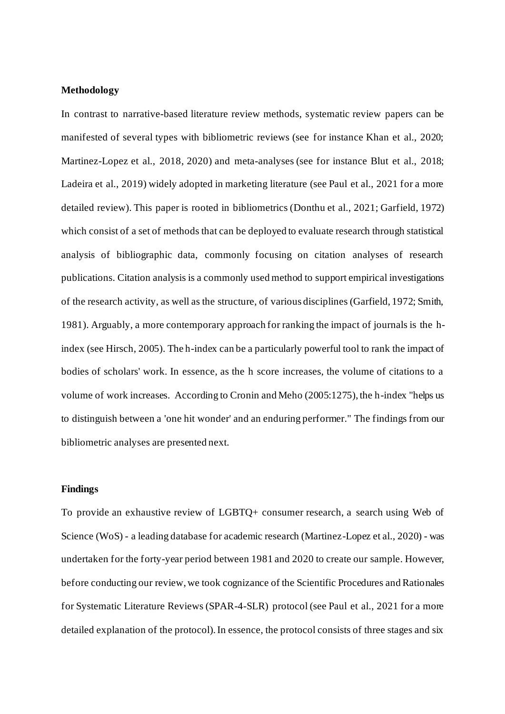# **Methodology**

In contrast to narrative-based literature review methods, systematic review papers can be manifested of several types with bibliometric reviews (see for instance Khan et al., 2020; Martinez-Lopez et al., 2018, 2020) and meta-analyses (see for instance Blut et al., 2018; Ladeira et al., 2019) widely adopted in marketing literature (see Paul et al., 2021 for a more detailed review). This paper is rooted in bibliometrics (Donthu et al., 2021; Garfield, 1972) which consist of a set of methods that can be deployed to evaluate research through statistical analysis of bibliographic data, commonly focusing on citation analyses of research publications. Citation analysis is a commonly used method to support empirical investigations of the research activity, as well as the structure, of various disciplines (Garfield, 1972; Smith, 1981). Arguably, a more contemporary approach for ranking the impact of journals is the hindex (see Hirsch, 2005). The h-index can be a particularly powerful tool to rank the impact of bodies of scholars' work. In essence, as the h score increases, the volume of citations to a volume of work increases. According to Cronin and Meho (2005:1275), the h-index "helps us to distinguish between a 'one hit wonder' and an enduring performer." The findings from our bibliometric analyses are presented next.

#### **Findings**

To provide an exhaustive review of LGBTQ+ consumer research, a search using Web of Science (WoS) - a leading database for academic research (Martinez-Lopez et al., 2020) - was undertaken for the forty-year period between 1981 and 2020 to create our sample. However, before conducting our review, we took cognizance of the Scientific Procedures and Rationales for Systematic Literature Reviews (SPAR-4-SLR) protocol (see Paul et al., 2021 for a more detailed explanation of the protocol). In essence, the protocol consists of three stages and six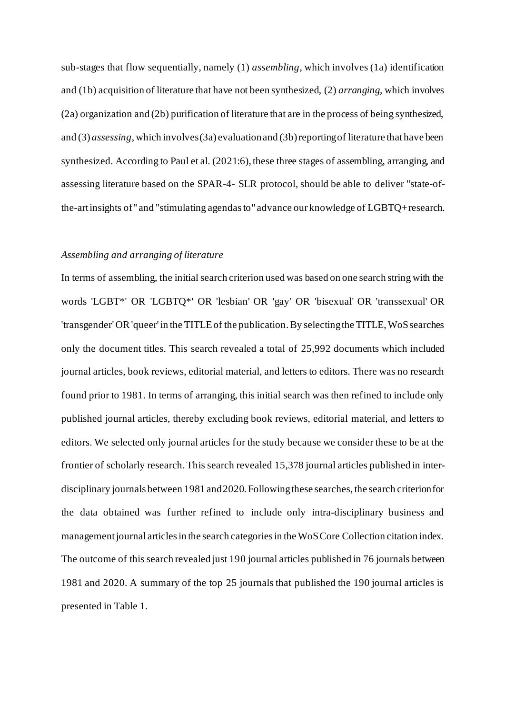sub-stages that flow sequentially, namely (1) *assembling*, which involves (1a) identification and (1b) acquisition of literature that have not been synthesized, (2) *arranging*, which involves (2a) organization and (2b) purification of literature that are in the process of being synthesized, and (3) *assessing*, which involves (3a) evaluation and (3b) reporting of literature that have been synthesized. According to Paul et al. (2021:6), these three stages of assembling, arranging, and assessing literature based on the SPAR-4- SLR protocol, should be able to deliver "state-ofthe-art insights of" and "stimulating agendas to" advance our knowledge of LGBTQ+ research.

# *Assembling and arranging of literature*

In terms of assembling, the initial search criterion used was based on one search string with the words 'LGBT\*' OR 'LGBTQ\*' OR 'lesbian' OR 'gay' OR 'bisexual' OR 'transsexual' OR 'transgender' OR'queer' in the TITLE of the publication. By selecting the TITLE, WoS searches only the document titles. This search revealed a total of 25,992 documents which included journal articles, book reviews, editorial material, and letters to editors. There was no research found prior to 1981. In terms of arranging, this initial search was then refined to include only published journal articles, thereby excluding book reviews, editorial material, and letters to editors. We selected only journal articles for the study because we consider these to be at the frontier of scholarly research. This search revealed 15,378 journal articles published in interdisciplinary journals between 1981 and 2020. Following these searches, the search criterion for the data obtained was further refined to include only intra-disciplinary business and management journal articles in the search categories in the WoS Core Collection citation index. The outcome of this search revealed just 190 journal articles published in 76 journals between 1981 and 2020. A summary of the top 25 journals that published the 190 journal articles is presented in Table 1.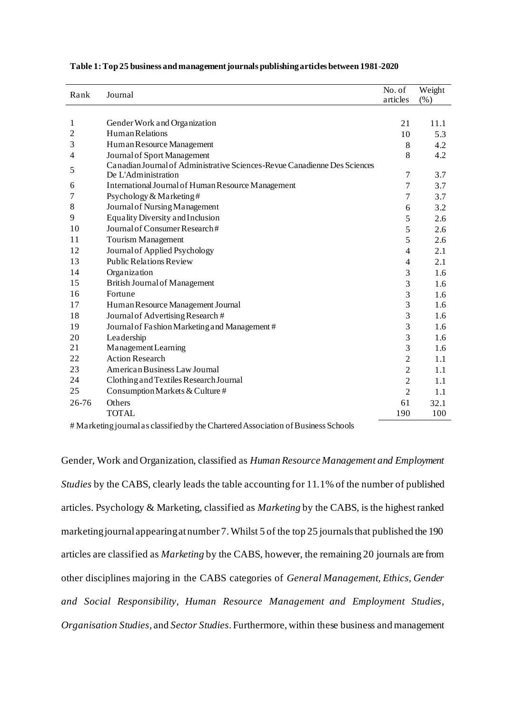| Rank  | Journal                                                                   | No. of         | Weight |
|-------|---------------------------------------------------------------------------|----------------|--------|
|       |                                                                           | articles       | (% )   |
|       |                                                                           |                |        |
| 1     | Gender Work and Organization                                              | 21             | 11.1   |
| 2     | Human Relations                                                           | 10             | 5.3    |
| 3     | Human Resource Management                                                 | 8              | 4.2    |
| 4     | Journal of Sport Management                                               | 8              | 4.2    |
| 5     | Canadian Journal of Administrative Sciences-Revue Canadienne Des Sciences |                |        |
|       | De L'Administration                                                       | $\overline{7}$ | 3.7    |
| 6     | <b>International Journal of Human Resource Management</b>                 | $\overline{7}$ | 3.7    |
| 7     | Psychology & Marketing#                                                   | 7              | 3.7    |
| 8     | Journal of Nursing Management                                             | 6              | 3.2    |
| 9     | Equality Diversity and Inclusion                                          | 5              | 2.6    |
| 10    | Journal of Consumer Research#                                             | 5              | 2.6    |
| 11    | <b>Tourism Management</b>                                                 | 5              | 2.6    |
| 12    | Journal of Applied Psychology                                             | $\overline{4}$ | 2.1    |
| 13    | <b>Public Relations Review</b>                                            | 4              | 2.1    |
| 14    | Organization                                                              | 3              | 1.6    |
| 15    | <b>British Journal of Management</b>                                      | 3              | 1.6    |
| 16    | Fortune                                                                   | 3              | 1.6    |
| 17    | Human Resource Management Journal                                         | 3              | 1.6    |
| 18    | Journal of Advertising Research #                                         | 3              | 1.6    |
| 19    | Journal of Fashion Marketing and Management #                             | 3              | 1.6    |
| 20    | Leadership                                                                | 3              | 1.6    |
| 21    | Management Learning                                                       | 3              | 1.6    |
| 22    | <b>Action Research</b>                                                    | $\overline{2}$ | 1.1    |
| 23    | American Business Law Journal                                             | $\overline{2}$ | 1.1    |
| 24    | Clothing and Textiles Research Journal                                    | $\mathfrak{2}$ | 1.1    |
| 25    | Consumption Markets & Culture #                                           | $\overline{2}$ | 1.1    |
| 26-76 | Others                                                                    | 61             | 32.1   |
|       | <b>TOTAL</b>                                                              | 190            | 100    |

| Table 1: Top 25 business and management journals publishing articles between 1981-2020 |  |  |  |  |  |
|----------------------------------------------------------------------------------------|--|--|--|--|--|
|----------------------------------------------------------------------------------------|--|--|--|--|--|

# Marketing journal as classified by the Chartered Association of Business Schools

Gender, Work and Organization, classified as *Human Resource Management and Employment Studies* by the CABS, clearly leads the table accounting for 11.1% of the number of published articles. Psychology & Marketing, classified as *Marketing* by the CABS, is the highest ranked marketing journal appearing at number 7. Whilst 5 of the top 25 journals that published the 190 articles are classified as *Marketing* by the CABS, however, the remaining 20 journals are from other disciplines majoring in the CABS categories of *General Management, Ethics, Gender and Social Responsibility, Human Resource Management and Employment Studies*, *Organisation Studies*, and *Sector Studies*. Furthermore, within these business and management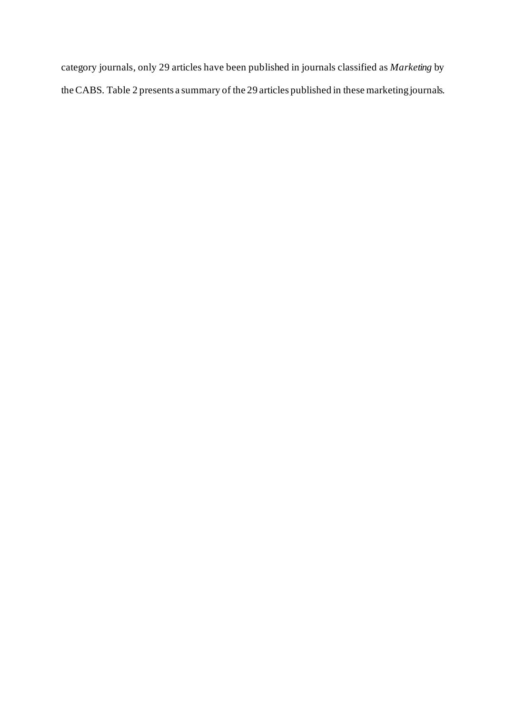category journals, only 29 articles have been published in journals classified as *Marketing* by the CABS. Table 2 presents a summary of the 29 articles published in these marketing journals.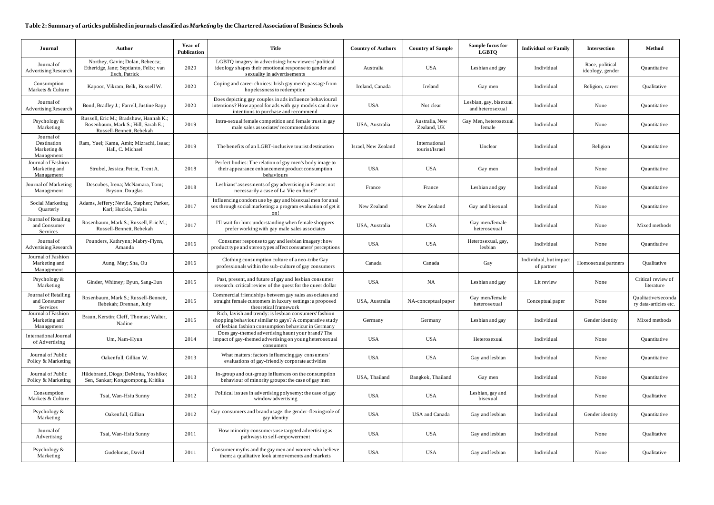# **Table 2: Summary of articles published in journals classified as** *Marketing* **by the Chartered Association of Business Schools**

| Journal                                                   | Author                                                                                                    | Year of<br><b>Publication</b> | <b>Title</b>                                                                                                                                                             | <b>Country of Authors</b>                                | <b>Country of Sample</b>        | Sample focus for<br><b>LGBTQ</b>           | <b>Individual or Family</b>          | <b>Intersection</b> | <b>Method</b>                                |
|-----------------------------------------------------------|-----------------------------------------------------------------------------------------------------------|-------------------------------|--------------------------------------------------------------------------------------------------------------------------------------------------------------------------|----------------------------------------------------------|---------------------------------|--------------------------------------------|--------------------------------------|---------------------|----------------------------------------------|
| Journal of<br>Advertising Research                        | Northey, Gavin; Dolan, Rebecca;<br>Etheridge, Jane; Septianto, Felix; van<br>Esch, Patrick                | 2020                          | LGBTQ imagery in advertising: how viewers' political<br>ideology shapes their emotional response to gender and<br>sexuality in advertisements                            | <b>USA</b><br>Lesbian and gay<br>Individual<br>Australia |                                 | Race, political<br>ideology, gender        | Quantitative                         |                     |                                              |
| Consumption<br>Markets & Culture                          | Kapoor, Vikram; Belk, Russell W.                                                                          | 2020                          | Coping and career choices: Irish gay men's passage from<br>hopelessness to redemption                                                                                    | Ireland, Canada                                          | Ireland                         | Gay men                                    | Individual                           | Religion, career    | Qualitative                                  |
| Journal of<br>Advertising Research                        | Bond, Bradley J.; Farrell, Justine Rapp                                                                   | 2020                          | Does depicting gay couples in ads influence behavioural<br>intentions? How appeal for ads with gay models can drive<br>intentions to purchase and recommend              | <b>USA</b>                                               | Not clear                       | Lesbian, gay, bisexual<br>and heterosexual | Individual                           | None                | Quantitative                                 |
| Psychology &<br>Marketing                                 | Russell, Eric M.; Bradshaw, Hannah K.;<br>Rosenbaum, Mark S.; Hill, Sarah E.;<br>Russell-Bennett, Rebekah | 2019                          | Intra-sexual female competition and female trust in gay<br>male sales associates' recommendations                                                                        | USA, Australia                                           | Australia, New<br>Zealand, UK   | Gay Men, heterosexual<br>female            | Individual                           | None                | Quantitative                                 |
| Journal of<br>Destination<br>Marketing $\&$<br>Management | Ram, Yael; Kama, Amit; Mizrachi, Isaac;<br>Hall, C. Michael                                               | 2019                          | The benefits of an LGBT-inclusive tourist destination                                                                                                                    | Israel, New Zealand                                      | International<br>tourist/Israel | Unclear                                    | Individual                           | Religion            | Quantitative                                 |
| Journal of Fashion<br>Marketing and<br>Management         | Strubel, Jessica; Petrie, Trent A.                                                                        | 2018                          | Perfect bodies: The relation of gay men's body image to<br>their appearance enhancement product consumption<br>behaviours                                                | <b>USA</b>                                               | <b>USA</b>                      | Gay men                                    | Individual                           | None                | Quantitative                                 |
| Journal of Marketing<br>Management                        | Descubes, Irena; McNamara, Tom;<br>Bryson, Douglas                                                        | 2018                          | Lesbians' assessments of gay advertising in France: not<br>necessarily a case of La Vie en Rose?'                                                                        | France                                                   | France                          | Lesbian and gay                            | Individual                           | None                | Quantitative                                 |
| Social Marketing<br>Quarterly                             | Adams, Jeffery; Neville, Stephen; Parker,<br>Karl; Huckle, Taisia                                         | 2017                          | Influencing condom use by gay and bisexual men for anal<br>sex through social marketing: a program evaluation of get it<br>on!                                           | New Zealand                                              | New Zealand                     | Gay and bisexual                           | Individual                           | None                | Quantitative                                 |
| Journal of Retailing<br>and Consumer<br>Services          | Rosenbaum, Mark S.; Russell, Eric M.;<br>Russell-Bennett, Rebekah                                         | 2017                          | I'll wait for him: understanding when female shoppers<br>prefer working with gay male sales associates                                                                   | USA, Australia                                           | <b>USA</b>                      | Gay men/female<br>heterosexual             | Individual                           | None                | Mixed methods                                |
| Journal of<br>Advertising Research                        | Pounders, Kathrynn; Mabry-Flynn,<br>Amanda                                                                | 2016                          | Consumer response to gay and lesbian imagery: how<br>product type and stereotypes affect consumers' perceptions                                                          | <b>USA</b>                                               | <b>USA</b>                      | Heterosexual, gay,<br>lesbian              | Individual                           | None                | Quantitative                                 |
| Journal of Fashion<br>Marketing and<br>Management         | Aung, May; Sha, Ou                                                                                        | 2016                          | Clothing consumption culture of a neo-tribe Gay<br>professionals within the sub-culture of gay consumers                                                                 | Canada                                                   | Canada                          | Gay                                        | Individual, but impact<br>of partner | Homosexual partners | Qualitative                                  |
| Psychology &<br>Marketing                                 | Ginder, Whitney; Byun, Sang-Eun                                                                           | 2015                          | Past, present, and future of gay and lesbian consumer<br>research: critical review of the quest for the queer dollar                                                     | <b>USA</b>                                               | <b>NA</b>                       | Lesbian and gay                            | Lit review                           | None                | Critical review of<br>literature             |
| Journal of Retailing<br>and Consumer<br>Services          | Rosenbaum, Mark S.; Russell-Bennett,<br>Rebekah; Drennan, Judy                                            | 2015                          | Commercial friendships between gay sales associates and<br>straight female customers in luxury settings: a proposed<br>theoretical framework                             | USA, Australia                                           | NA-conceptual paper             | Gay men/female<br>heterosexual             | Conceptual paper                     | None                | Qualitative/seconda<br>ry data-articles etc. |
| Journal of Fashion<br>Marketing and<br>Management         | Braun, Kerstin; Cleff, Thomas; Walter,<br>Nadine                                                          | 2015                          | Rich, lavish and trendy: is lesbian consumers' fashion<br>shopping behaviour similar to gays? A comparative study<br>of lesbian fashion consumption behaviour in Germany | Germany                                                  | Germany                         | Lesbian and gay                            | Individual                           | Gender identity     | Mixed methods                                |
| <b>International Journal</b><br>of Advertising            | Um, Nam-Hyun                                                                                              | 2014                          | Does gay-themed advertising haunt your brand? The<br>impact of gay-themed advertising on young heterosexual<br>consumers                                                 | <b>USA</b>                                               | <b>USA</b>                      | Heterosexual                               | Individual                           | None                | Quantitative                                 |
| Journal of Public<br>Policy & Marketing                   | Oakenfull, Gillian W.                                                                                     | 2013                          | What matters: factors influencing gay consumers'<br>evaluations of gay-friendly corporate activities                                                                     | <b>USA</b>                                               | <b>USA</b>                      | Gay and lesbian                            | Individual                           | None                | Quantitative                                 |
| Journal of Public<br>Policy & Marketing                   | Hildebrand, Diogo; DeMotta, Yoshiko;<br>Sen, Sankar; Kongsompong, Kritika                                 | 2013                          | In-group and out-group influences on the consumption<br>behaviour of minority groups: the case of gay men                                                                | USA, Thailand                                            | Bangkok, Thailand               | Gay men                                    | Individual                           | None                | Quantitative                                 |
| Consumption<br>Markets & Culture                          | Tsai, Wan-Hsiu Sunny                                                                                      | 2012                          | Political issues in advertising polysemy: the case of gay<br>window advertising                                                                                          | <b>USA</b>                                               | <b>USA</b>                      | Lesbian, gay and<br>bisexual               | Individual                           | None                | Qualitative                                  |
| Psychology &<br>Marketing                                 | Oakenfull, Gillian                                                                                        | 2012                          | Gay consumers and brandusage: the gender-flexing role of<br>gay identity                                                                                                 | <b>USA</b>                                               | USA and Canada                  | Gay and lesbian                            | Individual                           | Gender identity     | Quantitative                                 |
| Journal of<br>Advertising                                 | Tsai, Wan-Hsiu Sunny                                                                                      | 2011                          | How minority consumers use targeted advertising as<br>pathways to self-empowerment                                                                                       | <b>USA</b>                                               | <b>USA</b>                      | Gay and lesbian                            | Individual                           | None                | Qualitative                                  |
| Psychology &<br>Marketing                                 | Gudelunas, David                                                                                          | 2011                          | Consumer myths and the gay men and women who believe<br>them: a qualitative look at movements and markets                                                                | <b>USA</b>                                               | <b>USA</b>                      | Gay and lesbian                            | Individual                           | None                | Qualitative                                  |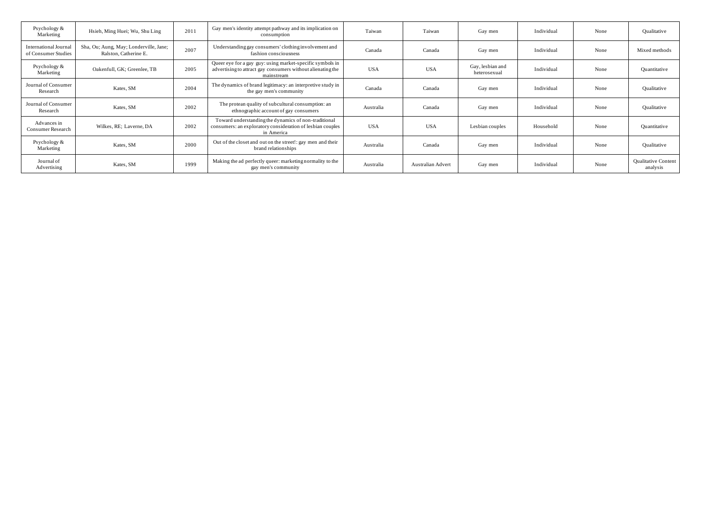| Psychology &<br>Marketing                           | Hsieh, Ming Huei; Wu, Shu Ling                                  | 2011 | Gay men's identity attempt pathway and its implication on<br>consumption                                                               | Taiwan     | Taiwan                   | Gay men                          | Individual | None | Qualitative                            |
|-----------------------------------------------------|-----------------------------------------------------------------|------|----------------------------------------------------------------------------------------------------------------------------------------|------------|--------------------------|----------------------------------|------------|------|----------------------------------------|
| <b>International Journal</b><br>of Consumer Studies | Sha, Ou; Aung, May; Londerville, Jane;<br>Ralston, Catherine E. | 2007 | Understanding gay consumers' clothing involvement and<br>fashion consciousness                                                         | Canada     | Canada                   | Gay men                          | Individual | None | Mixed methods                          |
| Psychology &<br>Marketing                           | Oakenfull, GK; Greenlee, TB                                     | 2005 | Queer eye for a gay guy: using market-specific symbols in<br>advertising to attract gay consumers without alienating the<br>mainstream | <b>USA</b> | <b>USA</b>               | Gay, lesbian and<br>heterosexual | Individual | None | Ouantitative                           |
| Journal of Consumer<br>Research                     | Kates, SM                                                       | 2004 | The dynamics of brand legitimacy: an interpretive study in<br>the gay men's community                                                  | Canada     | Canada                   | Gay men                          | Individual | None | Qualitative                            |
| Journal of Consumer<br>Research                     | Kates, SM                                                       | 2002 | The protean quality of subcultural consumption: an<br>ethnographic account of gay consumers                                            | Australia  | Canada                   | Gay men                          | Individual | None | Qualitative                            |
| Advances in<br><b>Consumer Research</b>             | Wilkes, RE; Laverne, DA                                         | 2002 | Toward understanding the dynamics of non-traditional<br>consumers: an exploratory consideration of lesbian couples<br>in America       | <b>USA</b> | <b>USA</b>               | Lesbian couples                  | Household  | None | Ouantitative                           |
| Psychology $&$<br>Marketing                         | Kates, SM                                                       | 2000 | Out of the closet and out on the street!: gay men and their<br>brand relationships                                                     | Australia  | Canada                   | Gay men                          | Individual | None | Qualitative                            |
| Journal of<br>Advertising                           | Kates, SM                                                       | 1999 | Making the ad perfectly queer: marketing normality to the<br>gay men's community                                                       | Australia  | <b>Australian Advert</b> | Gay men                          | Individual | None | <b>Oualitative Content</b><br>analysis |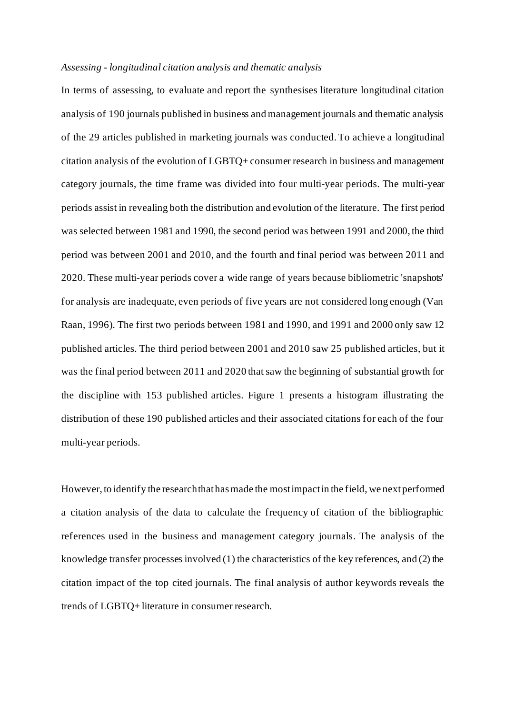#### *Assessing - longitudinal citation analysis and thematic analysis*

In terms of assessing, to evaluate and report the synthesises literature longitudinal citation analysis of 190 journals published in business and management journals and thematic analysis of the 29 articles published in marketing journals was conducted. To achieve a longitudinal citation analysis of the evolution of LGBTQ+ consumer research in business and management category journals, the time frame was divided into four multi-year periods. The multi-year periods assist in revealing both the distribution and evolution of the literature. The first period was selected between 1981 and 1990, the second period was between 1991 and 2000, the third period was between 2001 and 2010, and the fourth and final period was between 2011 and 2020. These multi-year periods cover a wide range of years because bibliometric 'snapshots' for analysis are inadequate, even periods of five years are not considered long enough (Van Raan, 1996). The first two periods between 1981 and 1990, and 1991 and 2000 only saw 12 published articles. The third period between 2001 and 2010 saw 25 published articles, but it was the final period between 2011 and 2020 that saw the beginning of substantial growth for the discipline with 153 published articles. Figure 1 presents a histogram illustrating the distribution of these 190 published articles and their associated citations for each of the four multi-year periods.

However, to identify the research that has made the most impact in the field, we next performed a citation analysis of the data to calculate the frequency of citation of the bibliographic references used in the business and management category journals. The analysis of the knowledge transfer processes involved (1) the characteristics of the key references, and (2) the citation impact of the top cited journals. The final analysis of author keywords reveals the trends of LGBTQ+ literature in consumer research.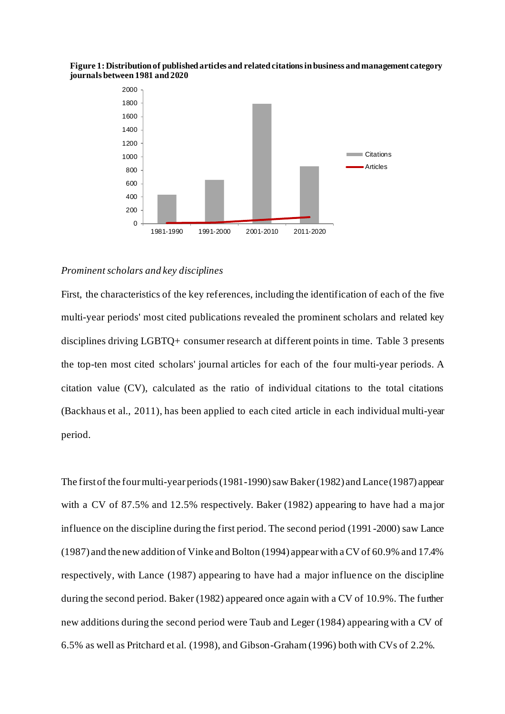



#### *Prominent scholars and key disciplines*

First, the characteristics of the key references, including the identification of each of the five multi-year periods' most cited publications revealed the prominent scholars and related key disciplines driving LGBTQ+ consumer research at different points in time. Table 3 presents the top-ten most cited scholars' journal articles for each of the four multi-year periods. A citation value (CV), calculated as the ratio of individual citations to the total citations (Backhaus et al., 2011), has been applied to each cited article in each individual multi-year period.

The first of the four multi-year periods (1981-1990) saw Baker (1982) and Lance (1987) appear with a CV of 87.5% and 12.5% respectively. Baker (1982) appearing to have had a ma jor influence on the discipline during the first period. The second period (1991-2000) saw Lance (1987) and the new addition of Vinke and Bolton (1994) appear with a CV of 60.9% and 17.4% respectively, with Lance (1987) appearing to have had a major influence on the discipline during the second period. Baker (1982) appeared once again with a CV of 10.9%. The further new additions during the second period were Taub and Leger (1984) appearing with a CV of 6.5% as well as Pritchard et al. (1998), and Gibson-Graham (1996) both with CVs of 2.2%.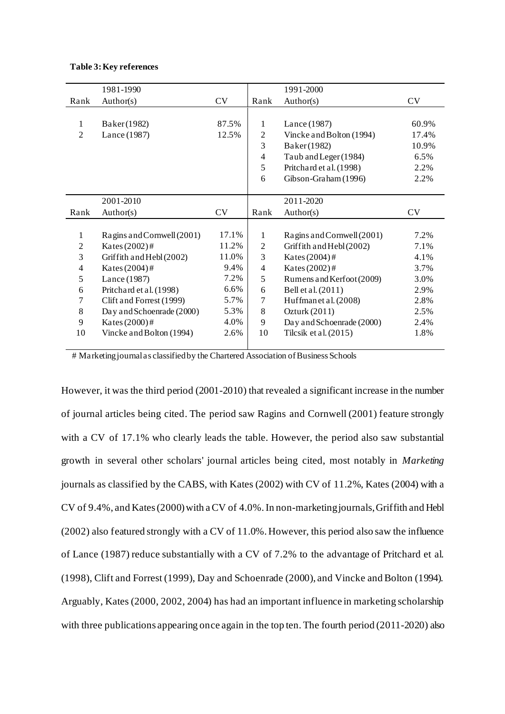| Table 3: Key references |  |  |
|-------------------------|--|--|
|-------------------------|--|--|

|                | 1981-1990                  |           |                | 1991-2000                  |           |
|----------------|----------------------------|-----------|----------------|----------------------------|-----------|
| Rank           | Author(s)                  | <b>CV</b> | Rank           | Author(s)                  | <b>CV</b> |
|                |                            |           |                |                            |           |
| 1              | Baker (1982)               | 87.5%     | 1              | Lance (1987)               | 60.9%     |
| 2              | Lance (1987)               | 12.5%     | $\overline{2}$ | Vincke and Bolton (1994)   | 17.4%     |
|                |                            |           | 3              | Baker (1982)               | 10.9%     |
|                |                            |           | $\overline{4}$ | Taub and Leger (1984)      | 6.5%      |
|                |                            |           | 5              | Pritchard et al. (1998)    | 2.2%      |
|                |                            |           | 6              | Gibson-Graham (1996)       | 2.2%      |
|                |                            |           |                |                            |           |
|                | 2001-2010                  |           |                | 2011-2020                  |           |
| Rank           | Author(s)                  | CV        | Rank           | Author(s)                  | <b>CV</b> |
|                |                            |           |                |                            |           |
| 1              | Ragins and Cornwell (2001) | 17.1%     | $\mathbf{1}$   | Ragins and Cornwell (2001) | 7.2%      |
| $\overline{2}$ | Kates (2002)#              | 11.2%     | $\mathfrak{2}$ | Griffith and Hebl(2002)    | 7.1%      |
| 3              | Griffith and Hebl (2002)   | 11.0%     | 3              | Kates (2004)#              | 4.1%      |
| $\overline{4}$ | Kates (2004)#              | 9.4%      | $\overline{4}$ | Kates (2002)#              | 3.7%      |
| 5              | Lance (1987)               | 7.2%      | 5              | Rumens and Kerfoot (2009)  | 3.0%      |
| 6              | Pritchard et al. (1998)    | 6.6%      | 6              | Bell et al. (2011)         | 2.9%      |
| $\overline{7}$ | Clift and Forrest (1999)   | 5.7%      | $\tau$         | Huffman et al. (2008)      | 2.8%      |
| 8              | Day and Schoenrade (2000)  | 5.3%      | 8              | Ozturk (2011)              | 2.5%      |
| 9              | Kates (2000)#              | 4.0%      | 9              | Day and Schoenrade (2000)  | 2.4%      |
| 10             | Vincke and Bolton (1994)   | 2.6%      | 10             | Tilcsik et al. $(2015)$    | 1.8%      |
|                |                            |           |                |                            |           |

# Marketing journal as classified by the Chartered Association of Business Schools

However, it was the third period (2001-2010) that revealed a significant increase in the number of journal articles being cited. The period saw Ragins and Cornwell (2001) feature strongly with a CV of 17.1% who clearly leads the table. However, the period also saw substantial growth in several other scholars' journal articles being cited, most notably in *Marketing* journals as classified by the CABS, with Kates (2002) with CV of 11.2%, Kates (2004) with a CV of 9.4%, and Kates (2000) with a CV of 4.0%. In non-marketing journals, Griffith and Hebl (2002) also featured strongly with a CV of 11.0%. However, this period also saw the influence of Lance (1987) reduce substantially with a CV of 7.2% to the advantage of Pritchard et al. (1998), Clift and Forrest (1999), Day and Schoenrade (2000), and Vincke and Bolton (1994). Arguably, Kates (2000, 2002, 2004) has had an important influence in marketing scholarship with three publications appearing once again in the top ten. The fourth period (2011-2020) also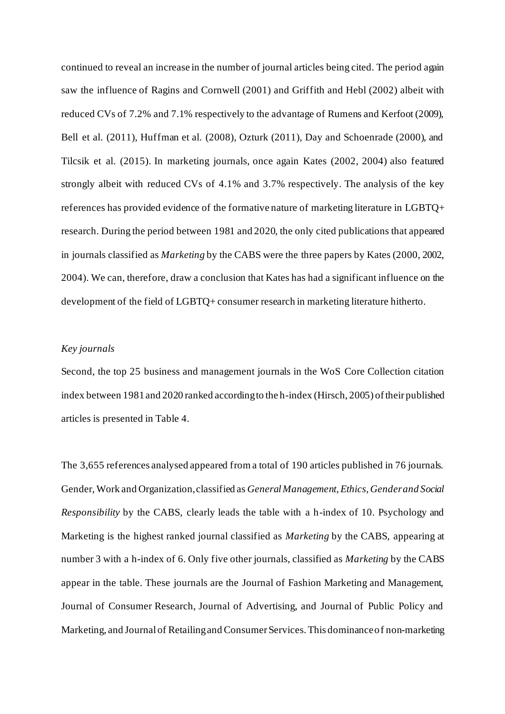continued to reveal an increase in the number of journal articles being cited. The period again saw the influence of Ragins and Cornwell (2001) and Griffith and Hebl (2002) albeit with reduced CVs of 7.2% and 7.1% respectively to the advantage of Rumens and Kerfoot (2009), Bell et al. (2011), Huffman et al. (2008), Ozturk (2011), Day and Schoenrade (2000), and Tilcsik et al. (2015). In marketing journals, once again Kates (2002, 2004) also featured strongly albeit with reduced CVs of 4.1% and 3.7% respectively. The analysis of the key references has provided evidence of the formative nature of marketing literature in LGBTQ+ research. During the period between 1981 and 2020, the only cited publications that appeared in journals classified as *Marketing* by the CABS were the three papers by Kates (2000, 2002, 2004). We can, therefore, draw a conclusion that Kates has had a significant influence on the development of the field of LGBTQ+ consumer research in marketing literature hitherto.

## *Key journals*

Second, the top 25 business and management journals in the WoS Core Collection citation index between 1981and 2020 ranked according to the h-index (Hirsch, 2005) of their published articles is presented in Table 4.

The 3,655 references analysed appeared from a total of 190 articles published in 76 journals. Gender, Work and Organization, classified as *General Management, Ethics, Gender and Social Responsibility* by the CABS, clearly leads the table with a h-index of 10. Psychology and Marketing is the highest ranked journal classified as *Marketing* by the CABS, appearing at number 3 with a h-index of 6. Only five other journals, classified as *Marketing* by the CABS appear in the table. These journals are the Journal of Fashion Marketing and Management, Journal of Consumer Research, Journal of Advertising, and Journal of Public Policy and Marketing, and Journal of Retailing and Consumer Services. This dominance of non-marketing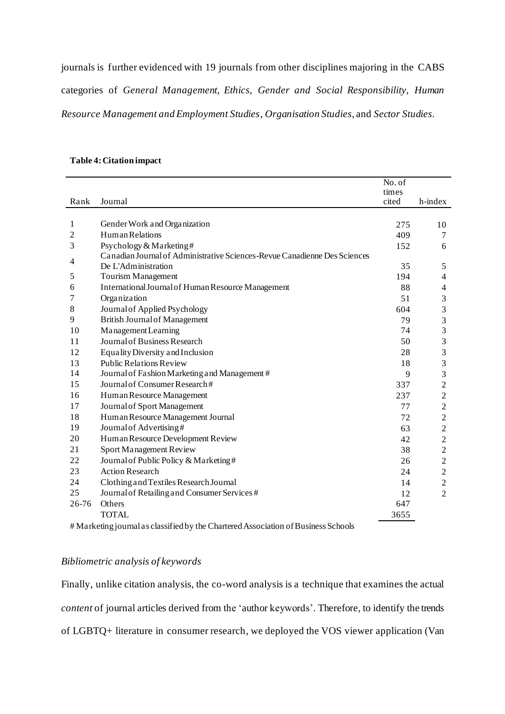journals is further evidenced with 19 journals from other disciplines majoring in the CABS categories of *General Management, Ethics, Gender and Social Responsibility, Human Resource Management and Employment Studies*, *Organisation Studies*, and *Sector Studies*.

#### **Table 4: Citation impact**

|       |                                                                                    | No. of |                             |
|-------|------------------------------------------------------------------------------------|--------|-----------------------------|
|       |                                                                                    | times  |                             |
| Rank  | Journal                                                                            | cited  | h-index                     |
|       |                                                                                    |        |                             |
| 1     | Gender Work and Organization                                                       | 275    | 10                          |
| 2     | Human Relations                                                                    | 409    | 7                           |
| 3     | Psychology & Marketing#                                                            | 152    | 6                           |
| 4     | Canadian Journal of Administrative Sciences-Revue Canadienne Des Sciences          |        |                             |
|       | De L'Administration                                                                | 35     | 5                           |
| 5     | Tourism Management                                                                 | 194    | $\overline{4}$              |
| 6     | <b>International Journal of Human Resource Management</b>                          | 88     | $\overline{4}$              |
| 7     | Organization                                                                       | 51     | $\ensuremath{\mathfrak{Z}}$ |
| 8     | Journal of Applied Psychology                                                      | 604    | 3                           |
| 9     | <b>British Journal of Management</b>                                               | 79     | 3                           |
| 10    | Management Learning                                                                | 74     | 3                           |
| 11    | Journal of Business Research                                                       | 50     | 3                           |
| 12    | Equality Diversity and Inclusion                                                   | 28     | 3                           |
| 13    | <b>Public Relations Review</b>                                                     | 18     | 3                           |
| 14    | Journal of Fashion Marketing and Management #                                      | 9      | $\sqrt{3}$                  |
| 15    | Journal of Consumer Research#                                                      | 337    | $\overline{2}$              |
| 16    | Human Resource Management                                                          | 237    | $\overline{c}$              |
| 17    | Journal of Sport Management                                                        | 77     | $\overline{c}$              |
| 18    | Human Resource Management Journal                                                  | 72     | $\sqrt{2}$                  |
| 19    | Journal of Advertising#                                                            | 63     | $\sqrt{2}$                  |
| 20    | Human Resource Development Review                                                  | 42     | $\boldsymbol{2}$            |
| 21    | Sport Management Review                                                            | 38     | $\sqrt{2}$                  |
| 22    | Journal of Public Policy & Marketing#                                              | 26     | $\overline{c}$              |
| 23    | <b>Action Research</b>                                                             | 24     | $\overline{2}$              |
| 24    | Clothing and Textiles Research Journal                                             | 14     | $\overline{c}$              |
| 25    | Journal of Retailing and Consumer Services #                                       | 12     | $\overline{2}$              |
| 26-76 | Others                                                                             | 647    |                             |
|       | <b>TOTAL</b>                                                                       | 3655   |                             |
|       | # Marketing journal as classified by the Chartered Association of Business Schools |        |                             |

# *Bibliometric analysis of keywords*

Finally, unlike citation analysis, the co-word analysis is a technique that examines the actual *content* of journal articles derived from the 'author keywords'. Therefore, to identify the trends of LGBTQ+ literature in consumer research, we deployed the VOS viewer application (Van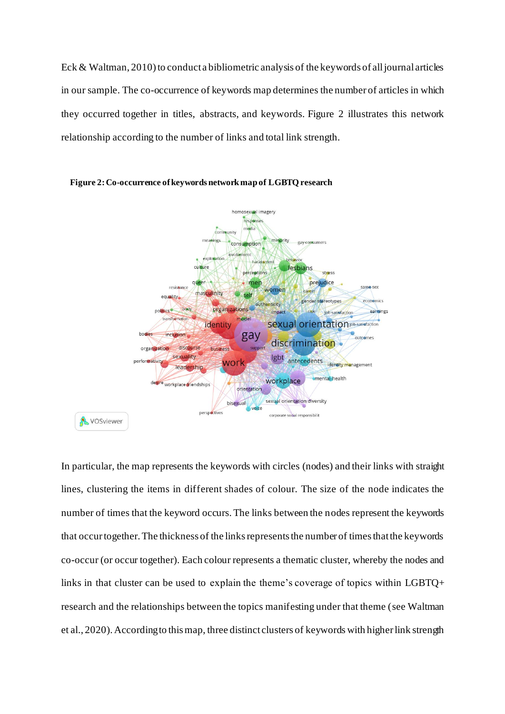Eck & Waltman, 2010) to conduct a bibliometric analysis of the keywords of all journal articles in our sample. The co-occurrence of keywords map determines the number of articles in which they occurred together in titles, abstracts, and keywords. Figure 2 illustrates this network relationship according to the number of links and total link strength.





In particular, the map represents the keywords with circles (nodes) and their links with straight lines, clustering the items in different shades of colour. The size of the node indicates the number of times that the keyword occurs. The links between the nodes represent the keywords that occur together. The thickness of the links represents the number of times that the keywords co-occur (or occur together). Each colour represents a thematic cluster, whereby the nodes and links in that cluster can be used to explain the theme's coverage of topics within LGBTQ+ research and the relationships between the topics manifesting under that theme (see Waltman et al., 2020). According to this map, three distinct clusters of keywords with higher link strength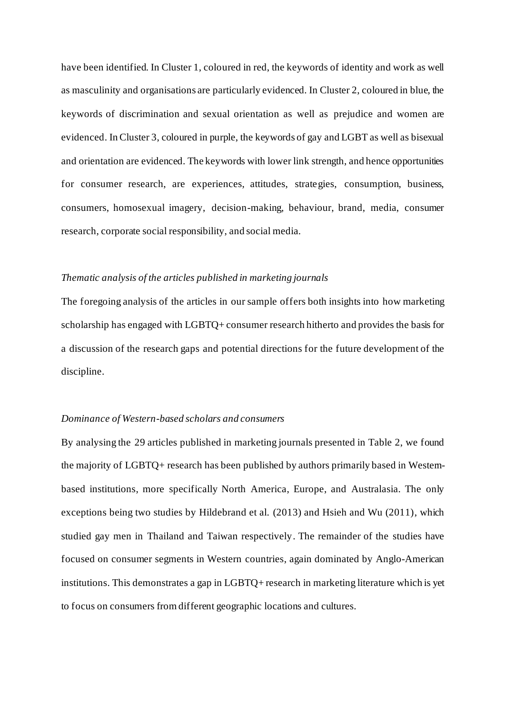have been identified. In Cluster 1, coloured in red, the keywords of identity and work as well as masculinity and organisations are particularly evidenced. In Cluster 2, coloured in blue, the keywords of discrimination and sexual orientation as well as prejudice and women are evidenced. In Cluster 3, coloured in purple, the keywords of gay and LGBT as well as bisexual and orientation are evidenced. The keywords with lower link strength, and hence opportunities for consumer research, are experiences, attitudes, strategies, consumption, business, consumers, homosexual imagery, decision-making, behaviour, brand, media, consumer research, corporate social responsibility, and social media.

#### *Thematic analysis of the articles published in marketing journals*

The foregoing analysis of the articles in our sample offers both insights into how marketing scholarship has engaged with LGBTQ+ consumer research hitherto and provides the basis for a discussion of the research gaps and potential directions for the future development of the discipline.

#### *Dominance of Western-based scholars and consumers*

By analysing the 29 articles published in marketing journals presented in Table 2, we found the majority of LGBTQ+ research has been published by authors primarily based in Westernbased institutions, more specifically North America, Europe, and Australasia. The only exceptions being two studies by Hildebrand et al. (2013) and Hsieh and Wu (2011), which studied gay men in Thailand and Taiwan respectively. The remainder of the studies have focused on consumer segments in Western countries, again dominated by Anglo-American institutions. This demonstrates a gap in LGBTQ+ research in marketing literature which is yet to focus on consumers from different geographic locations and cultures.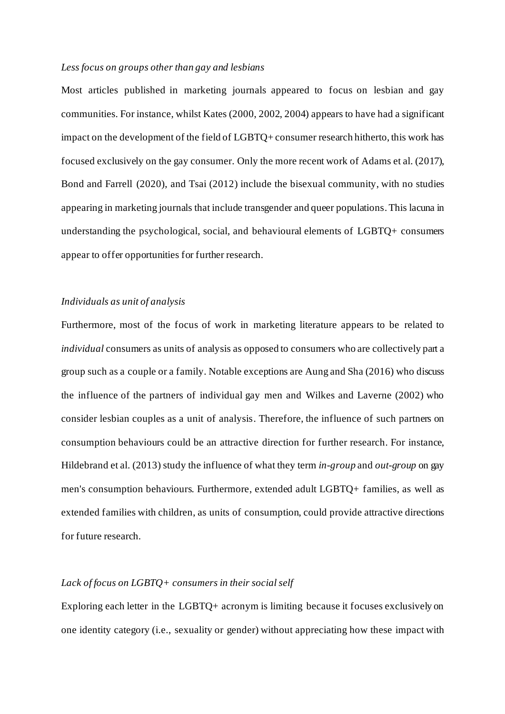#### *Less focus on groups other than gay and lesbians*

Most articles published in marketing journals appeared to focus on lesbian and gay communities. For instance, whilst Kates (2000, 2002, 2004) appears to have had a significant impact on the development of the field of LGBTQ+ consumer research hitherto, this work has focused exclusively on the gay consumer. Only the more recent work of Adams et al. (2017), Bond and Farrell (2020), and Tsai (2012) include the bisexual community, with no studies appearing in marketing journals that include transgender and queer populations. This lacuna in understanding the psychological, social, and behavioural elements of LGBTQ+ consumers appear to offer opportunities for further research.

# *Individuals as unit of analysis*

Furthermore, most of the focus of work in marketing literature appears to be related to *individual* consumers as units of analysis as opposed to consumers who are collectively part a group such as a couple or a family. Notable exceptions are Aung and Sha (2016) who discuss the influence of the partners of individual gay men and Wilkes and Laverne (2002) who consider lesbian couples as a unit of analysis. Therefore, the influence of such partners on consumption behaviours could be an attractive direction for further research. For instance, Hildebrand et al. (2013) study the influence of what they term *in-group* and *out-group* on gay men's consumption behaviours. Furthermore, extended adult LGBTQ+ families, as well as extended families with children, as units of consumption, could provide attractive directions for future research.

# *Lack of focus on LGBTQ+ consumers in their social self*

Exploring each letter in the LGBTQ+ acronym is limiting because it focuses exclusively on one identity category (i.e., sexuality or gender) without appreciating how these impact with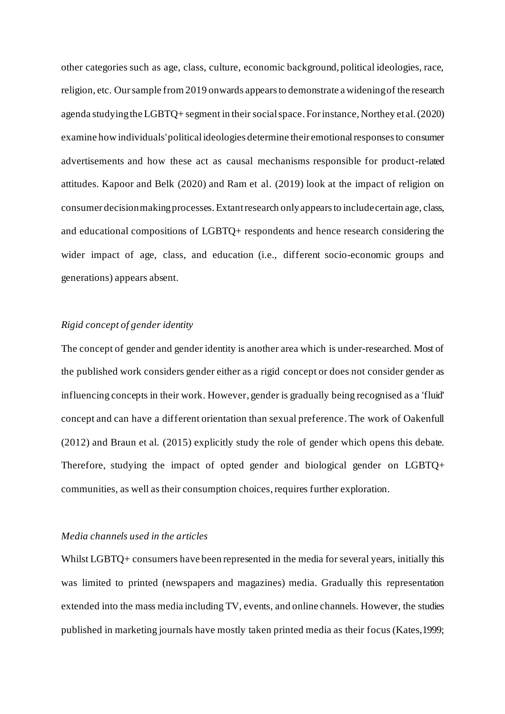other categories such as age, class, culture, economic background, political ideologies, race, religion, etc. Our sample from 2019 onwards appearsto demonstrate a widening of the research agenda studying the LGBTQ+ segment in their social space. For instance, Northey et al.(2020) examine how individuals'political ideologies determine their emotional responses to consumer advertisements and how these act as causal mechanisms responsible for product-related attitudes. Kapoor and Belk (2020) and Ram et al. (2019) look at the impact of religion on consumer decision making processes. Extant research only appears to include certain age, class, and educational compositions of LGBTQ+ respondents and hence research considering the wider impact of age, class, and education (i.e., different socio-economic groups and generations) appears absent.

## *Rigid concept of gender identity*

The concept of gender and gender identity is another area which is under-researched. Most of the published work considers gender either as a rigid concept or does not consider gender as influencing concepts in their work. However, gender is gradually being recognised as a 'fluid' concept and can have a different orientation than sexual preference. The work of Oakenfull (2012) and Braun et al. (2015) explicitly study the role of gender which opens this debate. Therefore, studying the impact of opted gender and biological gender on LGBTQ+ communities, as well as their consumption choices, requires further exploration.

# *Media channels used in the articles*

Whilst LGBTQ+ consumers have been represented in the media for several years, initially this was limited to printed (newspapers and magazines) media. Gradually this representation extended into the mass media including TV, events, and online channels. However, the studies published in marketing journals have mostly taken printed media as their focus (Kates,1999;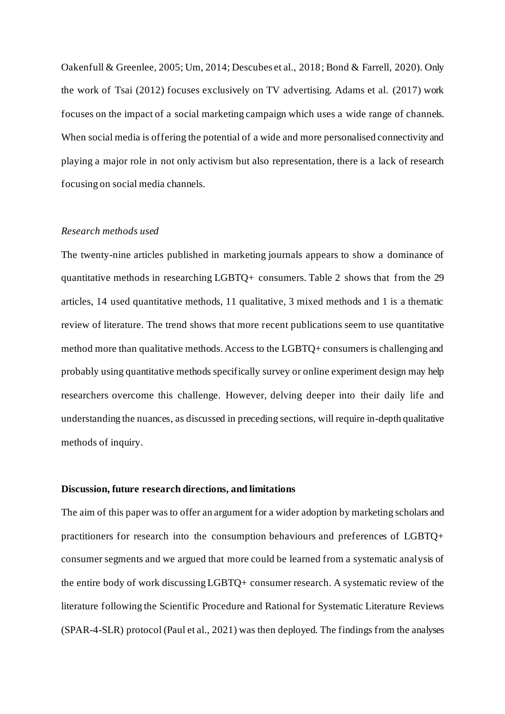Oakenfull & Greenlee, 2005; Um, 2014; Descubes et al., 2018; Bond & Farrell, 2020). Only the work of Tsai (2012) focuses exclusively on TV advertising. Adams et al. (2017) work focuses on the impact of a social marketing campaign which uses a wide range of channels. When social media is offering the potential of a wide and more personalised connectivity and playing a major role in not only activism but also representation, there is a lack of research focusing on social media channels.

# *Research methods used*

The twenty-nine articles published in marketing journals appears to show a dominance of quantitative methods in researching LGBTQ+ consumers. Table 2 shows that from the 29 articles, 14 used quantitative methods, 11 qualitative, 3 mixed methods and 1 is a thematic review of literature. The trend shows that more recent publications seem to use quantitative method more than qualitative methods. Access to the LGBTQ+ consumers is challenging and probably using quantitative methods specifically survey or online experiment design may help researchers overcome this challenge. However, delving deeper into their daily life and understanding the nuances, as discussed in preceding sections, will require in-depth qualitative methods of inquiry.

# **Discussion, future research directions, and limitations**

The aim of this paper was to offer an argument for a wider adoption by marketing scholars and practitioners for research into the consumption behaviours and preferences of LGBTQ+ consumer segments and we argued that more could be learned from a systematic analysis of the entire body of work discussing LGBTQ+ consumer research. A systematic review of the literature following the Scientific Procedure and Rational for Systematic Literature Reviews (SPAR-4-SLR) protocol (Paul et al., 2021) was then deployed. The findings from the analyses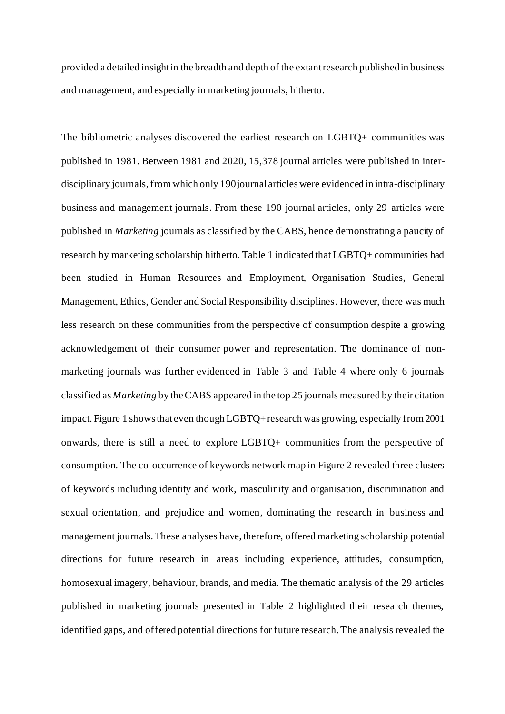provided a detailed insight in the breadth and depth of the extant research published in business and management, and especially in marketing journals, hitherto.

The bibliometric analyses discovered the earliest research on LGBTQ+ communities was published in 1981. Between 1981 and 2020, 15,378 journal articles were published in interdisciplinary journals, from which only 190 journal articles were evidenced in intra-disciplinary business and management journals. From these 190 journal articles, only 29 articles were published in *Marketing* journals as classified by the CABS, hence demonstrating a paucity of research by marketing scholarship hitherto. Table 1 indicated that LGBTQ+ communities had been studied in Human Resources and Employment, Organisation Studies, General Management, Ethics, Gender and Social Responsibility disciplines. However, there was much less research on these communities from the perspective of consumption despite a growing acknowledgement of their consumer power and representation. The dominance of nonmarketing journals was further evidenced in Table 3 and Table 4 where only 6 journals classified as *Marketing* by the CABS appeared in the top 25 journals measured by their citation impact. Figure 1 shows that even though LGBTQ+research was growing, especially from 2001 onwards, there is still a need to explore LGBTQ+ communities from the perspective of consumption. The co-occurrence of keywords network map in Figure 2 revealed three clusters of keywords including identity and work, masculinity and organisation, discrimination and sexual orientation, and prejudice and women, dominating the research in business and management journals. These analyses have, therefore, offered marketing scholarship potential directions for future research in areas including experience, attitudes, consumption, homosexual imagery, behaviour, brands, and media. The thematic analysis of the 29 articles published in marketing journals presented in Table 2 highlighted their research themes, identified gaps, and offered potential directions for future research. The analysis revealed the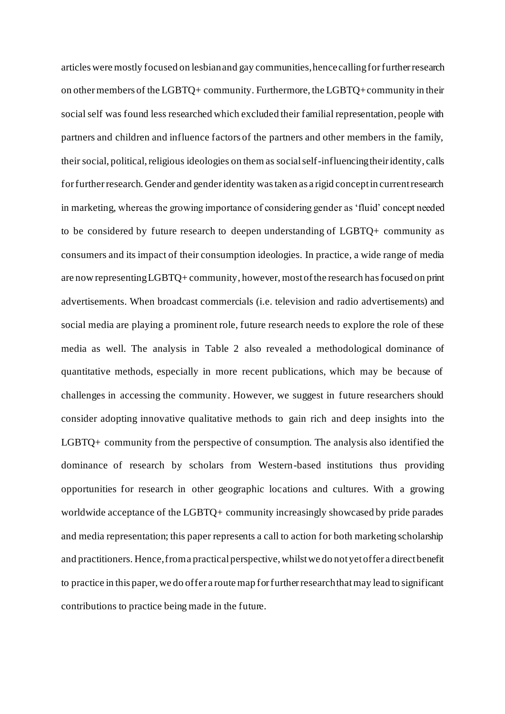articles were mostly focused on lesbian and gay communities, hence calling for furtherresearch on other members of the LGBTQ+ community. Furthermore, the LGBTQ+ community in their social self was found less researched which excluded their familial representation, people with partners and children and influence factors of the partners and other members in the family, their social, political, religious ideologies on them as social self-influencing their identity, calls for further research. Gender and gender identity was taken as a rigid concept in current research in marketing, whereas the growing importance of considering gender as 'fluid' concept needed to be considered by future research to deepen understanding of LGBTQ+ community as consumers and its impact of their consumption ideologies. In practice, a wide range of media are now representing LGBTQ+ community, however, most of the research has focused on print advertisements. When broadcast commercials (i.e. television and radio advertisements) and social media are playing a prominent role, future research needs to explore the role of these media as well. The analysis in Table 2 also revealed a methodological dominance of quantitative methods, especially in more recent publications, which may be because of challenges in accessing the community. However, we suggest in future researchers should consider adopting innovative qualitative methods to gain rich and deep insights into the LGBTQ+ community from the perspective of consumption. The analysis also identified the dominance of research by scholars from Western-based institutions thus providing opportunities for research in other geographic locations and cultures. With a growing worldwide acceptance of the LGBTQ+ community increasingly showcased by pride parades and media representation; this paper represents a call to action for both marketing scholarship and practitioners. Hence, from a practical perspective, whilst we do not yet offer a direct benefit to practice in this paper, we do offer a route map for further research that may lead to significant contributions to practice being made in the future.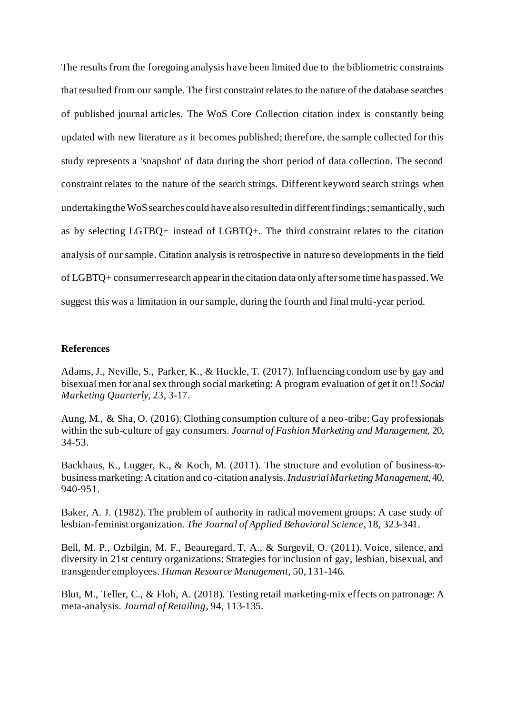The results from the foregoing analysis have been limited due to the bibliometric constraints that resulted from our sample. The first constraint relates to the nature of the database searches of published journal articles. The WoS Core Collection citation index is constantly being updated with new literature as it becomes published; therefore, the sample collected for this study represents a 'snapshot' of data during the short period of data collection. The second constraint relates to the nature of the search strings. Different keyword search strings when undertaking the WoS searches could have also resulted in different findings; semantically, such as by selecting LGTBQ+ instead of LGBTQ+. The third constraint relates to the citation analysis of our sample. Citation analysis is retrospective in nature so developments in the field of LGBTQ+ consumer research appear in the citation data only after some time has passed. We suggest this was a limitation in our sample, during the fourth and final multi-year period.

# **References**

Adams, J., Neville, S., Parker, K., & Huckle, T. (2017). Influencing condom use by gay and bisexual men for anal sex through social marketing: A program evaluation of get it on!! *Social Marketing Quarterly*, 23, 3-17.

Aung, M., & Sha, O. (2016). Clothing consumption culture of a neo-tribe: Gay professionals within the sub-culture of gay consumers. *Journal of Fashion Marketing and Management*, 20, 34-53.

Backhaus, K., Lugger, K., & Koch, M. (2011). The structure and evolution of business-tobusiness marketing: A citation and co-citation analysis. *Industrial Marketing Management*, 40, 940-951.

Baker, A. J. (1982). The problem of authority in radical movement groups: A case study of lesbian-feminist organization. *The Journal of Applied Behavioral Science*, 18, 323-341.

Bell, M. P., Ozbilgin, M. F., Beauregard, T. A., & Surgevil, O. (2011). Voice, silence, and diversity in 21st century organizations: Strategies for inclusion of gay, lesbian, bisexual, and transgender employees. *Human Resource Management*, 50, 131-146.

Blut, M., Teller, C., & Floh, A. (2018). Testing retail marketing-mix effects on patronage: A meta-analysis. *Journal of Retailing*, 94, 113-135.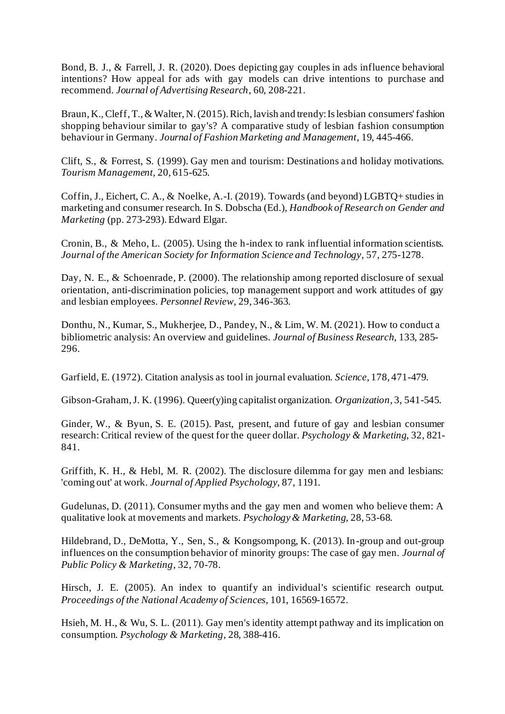Bond, B. J., & Farrell, J. R. (2020). Does depicting gay couples in ads influence behavioral intentions? How appeal for ads with gay models can drive intentions to purchase and recommend. *Journal of Advertising Research*, 60, 208-221.

Braun, K., Cleff, T., & Walter, N. (2015). Rich, lavish and trendy: Is lesbian consumers'fashion shopping behaviour similar to gay's? A comparative study of lesbian fashion consumption behaviour in Germany. *Journal of Fashion Marketing and Management*, 19, 445-466.

Clift, S., & Forrest, S. (1999). Gay men and tourism: Destinations and holiday motivations. *Tourism Management*, 20, 615-625.

Coffin, J., Eichert, C. A., & Noelke, A.-I. (2019). Towards (and beyond) LGBTQ+ studies in marketing and consumer research. In S. Dobscha (Ed.), *Handbook of Research on Gender and Marketing* (pp. 273-293). Edward Elgar.

Cronin, B., & Meho, L. (2005). Using the h-index to rank influential information scientists. *Journal of the American Society for Information Science and Technology*, 57, 275-1278.

Day, N. E., & Schoenrade, P. (2000). The relationship among reported disclosure of sexual orientation, anti-discrimination policies, top management support and work attitudes of gay and lesbian employees. *Personnel Review*, 29, 346-363.

Donthu, N., Kumar, S., Mukherjee, D., Pandey, N., & Lim, W. M. (2021). How to conduct a bibliometric analysis: An overview and guidelines. *Journal of Business Research*, 133, 285- 296.

Garfield, E. (1972). Citation analysis as tool in journal evaluation. *Science*, 178, 471-479.

Gibson-Graham, J. K. (1996). Queer(y)ing capitalist organization. *Organization*, 3, 541-545.

Ginder, W., & Byun, S. E. (2015). Past, present, and future of gay and lesbian consumer research: Critical review of the quest for the queer dollar. *Psychology & Marketing*, 32, 821- 841.

Griffith, K. H., & Hebl, M. R. (2002). The disclosure dilemma for gay men and lesbians: 'coming out' at work. *Journal of Applied Psychology*, 87, 1191.

Gudelunas, D. (2011). Consumer myths and the gay men and women who believe them: A qualitative look at movements and markets. *Psychology & Marketing*, 28, 53-68.

Hildebrand, D., DeMotta, Y., Sen, S., & Kongsompong, K. (2013). In-group and out-group influences on the consumption behavior of minority groups: The case of gay men. *Journal of Public Policy & Marketing*, 32, 70-78.

Hirsch, J. E. (2005). An index to quantify an individual's scientific research output. *Proceedings of the National Academy of Sciences*, 101, 16569-16572.

Hsieh, M. H., & Wu, S. L. (2011). Gay men's identity attempt pathway and its implication on consumption. *Psychology & Marketing*, 28, 388-416.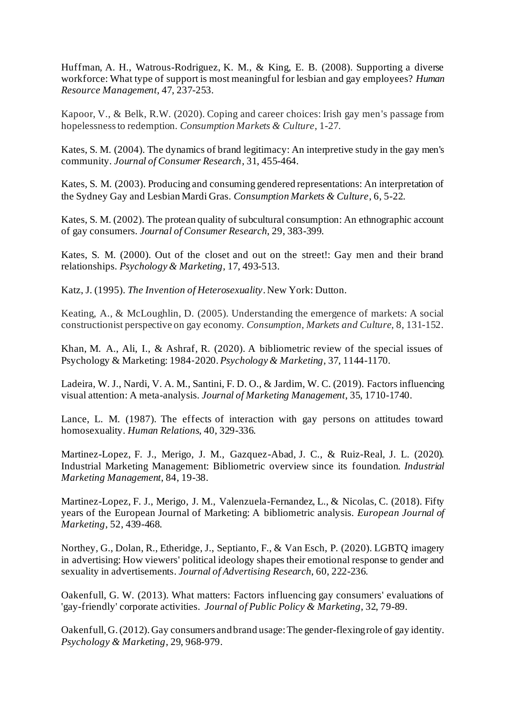Huffman, A. H., Watrous-Rodriguez, K. M., & King, E. B. (2008). Supporting a diverse workforce: What type of support is most meaningful for lesbian and gay employees? *Human Resource Management*, 47, 237-253.

Kapoor, V., & Belk, R.W. (2020). Coping and career choices: Irish gay men's passage from hopelessness to redemption. *Consumption Markets & Culture*, 1-27.

Kates, S. M. (2004). The dynamics of brand legitimacy: An interpretive study in the gay men's community. *Journal of Consumer Research*, 31, 455-464.

Kates, S. M. (2003). Producing and consuming gendered representations: An interpretation of the Sydney Gay and Lesbian Mardi Gras. *Consumption Markets & Culture*, 6, 5-22.

Kates, S. M. (2002). The protean quality of subcultural consumption: An ethnographic account of gay consumers. *Journal of Consumer Research*, 29, 383-399.

Kates, S. M. (2000). Out of the closet and out on the street!: Gay men and their brand relationships. *Psychology & Marketing*, 17, 493-513.

Katz, J. (1995). *The Invention of Heterosexuality*. New York: Dutton.

Keating, A., & McLoughlin, D. (2005). Understanding the emergence of markets: A social constructionist perspective on gay economy. *Consumption, Markets and Culture*, 8, 131-152.

Khan, M. A., Ali, I., & Ashraf, R. (2020). A bibliometric review of the special issues of Psychology & Marketing: 1984‐2020. *Psychology & Marketing*, 37, 1144-1170.

Ladeira, W. J., Nardi, V. A. M., Santini, F. D. O., & Jardim, W. C. (2019). Factors influencing visual attention: A meta-analysis. *Journal of Marketing Management*, 35, 1710-1740.

Lance, L. M. (1987). The effects of interaction with gay persons on attitudes toward homosexuality. *Human Relations*, 40, 329-336.

Martinez-Lopez, F. J., Merigo, J. M., Gazquez-Abad, J. C., & Ruiz-Real, J. L. (2020). Industrial Marketing Management: Bibliometric overview since its foundation. *Industrial Marketing Management*, 84, 19-38.

Martinez-Lopez, F. J., Merigo, J. M., Valenzuela-Fernandez, L., & Nicolas, C. (2018). Fifty years of the European Journal of Marketing: A bibliometric analysis. *European Journal of Marketing*, 52, 439-468.

Northey, G., Dolan, R., Etheridge, J., Septianto, F., & Van Esch, P. (2020). LGBTQ imagery in advertising: How viewers' political ideology shapes their emotional response to gender and sexuality in advertisements. *Journal of Advertising Research*, 60, 222-236.

Oakenfull, G. W. (2013). What matters: Factors influencing gay consumers' evaluations of 'gay-friendly' corporate activities. *Journal of Public Policy & Marketing*, 32, 79-89.

Oakenfull, G. (2012). Gay consumers and brand usage: The gender-flexing role of gay identity. *Psychology & Marketing*, 29, 968-979.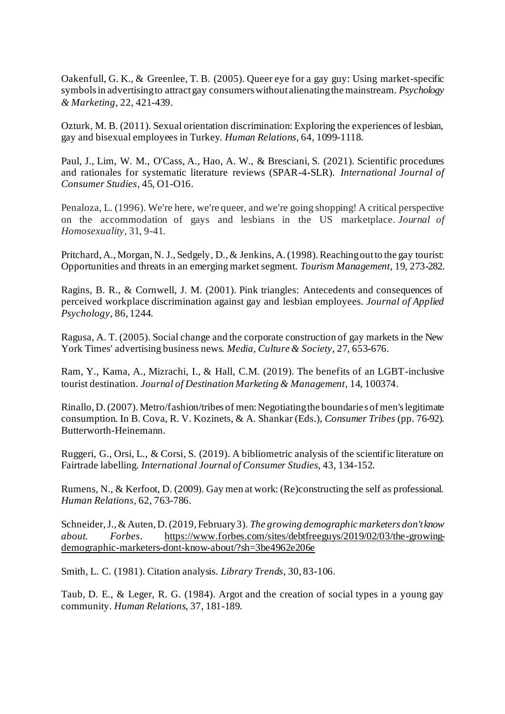Oakenfull, G. K., & Greenlee, T. B. (2005). Queer eye for a gay guy: Using market-specific symbols in advertising to attract gay consumers without alienating the mainstream. *Psychology & Marketing*, 22, 421-439.

Ozturk, M. B. (2011). Sexual orientation discrimination: Exploring the experiences of lesbian, gay and bisexual employees in Turkey. *Human Relations*, 64, 1099-1118.

Paul, J., Lim, W. M., O'Cass, A., Hao, A. W., & Bresciani, S. (2021). Scientific procedures and rationales for systematic literature reviews (SPAR-4-SLR). *International Journal of Consumer Studies*, 45, O1-O16.

Penaloza, L. (1996). We're here, we're queer, and we're going shopping! A critical perspective on the accommodation of gays and lesbians in the US marketplace. *Journal of Homosexuality*, 31, 9-41.

Pritchard, A., Morgan, N. J., Sedgely, D., & Jenkins, A. (1998). Reaching out to the gay tourist: Opportunities and threats in an emerging market segment. *Tourism Management*, 19, 273-282.

Ragins, B. R., & Cornwell, J. M. (2001). Pink triangles: Antecedents and consequences of perceived workplace discrimination against gay and lesbian employees. *Journal of Applied Psychology*, 86, 1244.

Ragusa, A. T. (2005). Social change and the corporate construction of gay markets in the New York Times' advertising business news. *Media, Culture & Society*, 27, 653-676.

Ram, Y., Kama, A., Mizrachi, I., & Hall, C.M. (2019). The benefits of an LGBT-inclusive tourist destination. *Journal of Destination Marketing & Management*, 14, 100374.

Rinallo, D. (2007). Metro/fashion/tribes of men: Negotiating the boundaries of men's legitimate consumption. In B. Cova, R. V. Kozinets, & A. Shankar (Eds.), *Consumer Tribes* (pp. 76-92). Butterworth-Heinemann.

Ruggeri, G., Orsi, L., & Corsi, S. (2019). A bibliometric analysis of the scientific literature on Fairtrade labelling. *International Journal of Consumer Studies*, 43, 134-152.

Rumens, N., & Kerfoot, D. (2009). Gay men at work: (Re)constructing the self as professional. *Human Relations*, 62, 763-786.

Schneider, J., & Auten, D. (2019, February 3). *The growing demographic marketers don't know about. Forbes*. [https://www.forbes.com/sites/debtfreeguys/2019/02/03/the-growing](https://www.forbes.com/sites/debtfreeguys/2019/02/03/the-growing-demographic-marketers-dont-know-about/?sh=3be4962e206e)[demographic-marketers-dont-know-about/?sh=3be4962e206e](https://www.forbes.com/sites/debtfreeguys/2019/02/03/the-growing-demographic-marketers-dont-know-about/?sh=3be4962e206e)

Smith, L. C. (1981). Citation analysis. *Library Trends*, 30, 83-106.

Taub, D. E., & Leger, R. G. (1984). Argot and the creation of social types in a young gay community. *Human Relations*, 37, 181-189.